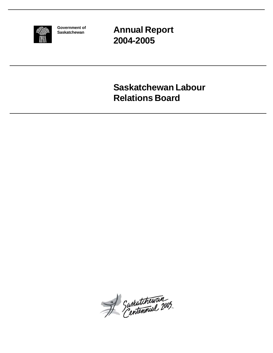

**Government of Saskatchewan**

**Annual Report 2004-2005**

**Saskatchewan Labour Relations Board**

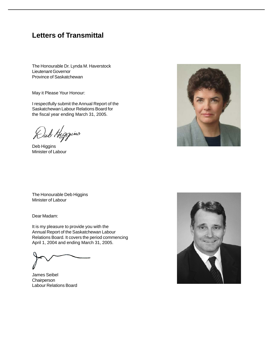# **Letters of Transmittal**

The Honourable Dr. Lynda M. Haverstock Lieutenant Governor Province of Saskatchewan

May it Please Your Honour:

I respectfully submit the Annual Report of the Saskatchewan Labour Relations Board for the fiscal year ending March 31, 2005.

Kub Higgins

Deb Higgins Minister of Labour



The Honourable Deb Higgins Minister of Labour

Dear Madam:

It is my pleasure to provide you with the Annual Report of the Saskatchewan Labour Relations Board. It covers the period commencing April 1, 2004 and ending March 31, 2005.

James Seibel **Chairperson** Labour Relations Board

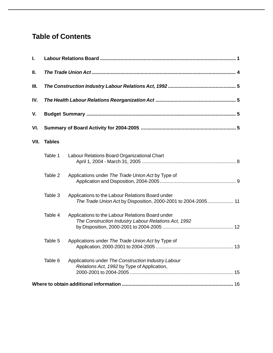# **Table of Contents**

| I.   |               |                                                                                                                   |  |  |  |  |  |  |  |
|------|---------------|-------------------------------------------------------------------------------------------------------------------|--|--|--|--|--|--|--|
| Ш.   |               |                                                                                                                   |  |  |  |  |  |  |  |
| Ш.   |               |                                                                                                                   |  |  |  |  |  |  |  |
| IV.  |               |                                                                                                                   |  |  |  |  |  |  |  |
| V.   |               |                                                                                                                   |  |  |  |  |  |  |  |
| VI.  |               |                                                                                                                   |  |  |  |  |  |  |  |
| VII. | <b>Tables</b> |                                                                                                                   |  |  |  |  |  |  |  |
|      | Table 1       | Labour Relations Board Organizational Chart                                                                       |  |  |  |  |  |  |  |
|      | Table 2       | Applications under The Trade Union Act by Type of                                                                 |  |  |  |  |  |  |  |
|      | Table 3       | Applications to the Labour Relations Board under<br>The Trade Union Act by Disposition, 2000-2001 to 2004-2005 11 |  |  |  |  |  |  |  |
|      | Table 4       | Applications to the Labour Relations Board under<br>The Construction Industry Labour Relations Act, 1992          |  |  |  |  |  |  |  |
|      | Table 5       | Applications under The Trade Union Act by Type of                                                                 |  |  |  |  |  |  |  |
|      | Table 6       | Applications under The Construction Industry Labour<br>Relations Act, 1992 by Type of Application,                |  |  |  |  |  |  |  |
|      |               |                                                                                                                   |  |  |  |  |  |  |  |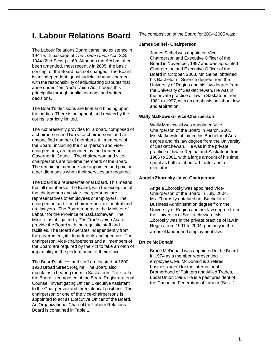# **I. Labour Relations Board**

The Labour Relations Board came into existence in 1944 with passage of *The Trade Union Act*, S.S. 1944 (2nd Sess.) c. 69. Although the *Act* has often been amended, most recently in 2005, the basic concept of the Board has not changed. The Board is an independent, quasi-judicial tribunal charged with the responsibility of adjudicating disputes that arise under *The Trade Union Act*. It does this principally through public hearings and written decisions.

The Board's decisions are final and binding upon the parties. There is no appeal, and review by the courts is strictly limited.

The *Act* presently provides for a board composed of a chairperson and two vice-chairpersons and an unspecified number of members. All members of the Board, including the chairperson and vicechairpersons, are appointed by the Lieutenant Governor in Council. The chairperson and vicechairpersons are full-time members of the Board. The remaining members are appointed and paid on a per diem basis when their services are required.

The Board is a representational Board. This means that all members of the Board, with the exception of the chairperson and vice-chairpersons, are representatives of employees or employers. The chairperson and vice-chairpersons are neutral and are lawyers. The Board reports to the Minister of Labour for the Province of Saskatchewan. The Minister is obligated by *The Trade Union Act* to provide the Board with the requisite staff and facilities. The Board operates independently from the government, its departments and agencies. The chairperson, vice-chairpersons and all members of the Board are required by the *Act* to take an oath of impartiality in the performance of their office.

The Board's offices and staff are located at 1600 - 1920 Broad Street, Regina. The Board also maintains a hearing room in Saskatoon. The staff of the Board is composed of the Board Registrar/Legal Counsel, Investigating Officer, Executive Assistant to the Chairperson and three clerical positions. The chairperson or one of the vice-chairpersons is appointed to act as Executive Officer of the Board. An Organizational Chart of the Labour Relations Board is contained in Table 1.

The composition of the Board for 2004-2005 was:

### **James Seibel - Chairperson**

James Seibel was appointed Vice-Chairperson and Executive Officer of the Board in November, 1997 and was appointed Chairperson and Executive Officer of the Board in October, 2003. Mr. Seibel obtained his Bachelor of Science degree from the University of Regina and his law degree from the University of Saskatchewan. He was in the private practice of law in Saskatoon from 1981 to 1997, with an emphasis on labour law and arbitration.

## **Wally Matkowski - Vice-Chairperson**

Wally Matkowski was appointed Vice-Chairperson of the Board in March, 2001. Mr. Matkowski obtained his Bachelor of Arts degree and his law degree from the University of Saskatchewan. He was in the private practice of law in Regina and Saskatoon from 1986 to 2001, with a large amount of his time spent as both a labour arbitrator and a mediator.

# **Angela Zborosky - Vice-Chairperson**

Angela Zborosky was appointed Vice-Chairperson of the Board in July, 2004. Ms. Zborosky obtained her Bachelor of Business Administration degree from the University of Regina and her law degree from the University of Saskatchewan. Ms. Zborosky was in the private practice of law in Regina from 1991 to 2004, primarily in the areas of labour and employment law.

# **Bruce McDonald**

Bruce McDonald was appointed to the Board in 1974 as a member representing employees. Mr. McDonald is a retired business agent for the International Brotherhood of Painters and Allied Trades, Local Union 1996. He is a past president of the Canadian Federation of Labour (Sask.).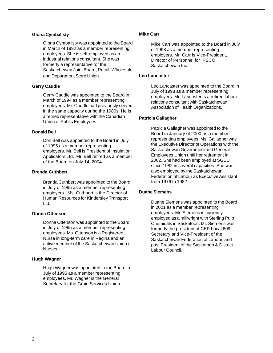#### **Gloria Cymbalisty**

Gloria Cymbalisty was appointed to the Board in March of 1992 as a member representing employees. She is self-employed as an industrial relations consultant. She was formerly a representative for the Saskatchewan Joint Board, Retail, Wholesale and Department Store Union.

#### **Gerry Caudle**

Gerry Caudle was appointed to the Board in March of 1994 as a member representing employees. Mr. Caudle had previously served in the same capacity during the 1980s. He is a retired representative with the Canadian Union of Public Employees.

#### **Donald Bell**

Don Bell was appointed to the Board in July of 1995 as a member representing employers. Mr. Bell is President of Insulation Applicators Ltd. Mr. Bell retired as a member of the Board on July 14, 2004.

### **Brenda Cuthbert**

Brenda Cuthbert was appointed to the Board in July of 1995 as a member representing employers. Ms. Cuthbert is the Director of Human Resources for Kindersley Transport Ltd.

# **Donna Ottenson**

Donna Ottenson was appointed to the Board in July of 1995 as a member representing employees. Ms. Ottenson is a Registered Nurse in long-term care in Regina and an active member of the Saskatchewan Union of Nurses.

### **Hugh Wagner**

Hugh Wagner was appointed to the Board in July of 1995 as a member representing employees. Mr. Wagner is the General Secretary for the Grain Services Union.

### **Mike Carr**

Mike Carr was appointed to the Board in July of 1998 as a member representing employers. Mr. Carr is Vice-President, Director of Personnel for IPSCO Saskatchewan Inc.

### **Leo Lancaster**

Leo Lancaster was appointed to the Board in July of 1998 as a member representing employers. Mr. Lancaster is a retired labour relations consultant with Saskatchewan Association of Health Organizations.

### **Patricia Gallagher**

Patricia Gallagher was appointed to the Board in January of 2000 as a member representing employees. Ms. Gallagher was the Executive Director of Operations with the Saskatchewan Government and General Employees Union until her retirement in 2002. She had been employed at SGEU since 1982 in several capacities. She was also employed by the Saskatchewan Federation of Labour as Executive Assistant from 1976 to 1982.

### **Duane Siemens**

Duane Siemens was appointed to the Board in 2001 as a member representing employees. Mr. Siemens is currently employed as a millwright with Sterling Pulp Chemicals in Saskatoon. Mr. Siemens was formerly the president of CEP Local 609, Secretary and Vice-President of the Saskatchewan Federation of Labour, and past President of the Saskatoon & District Labour Council.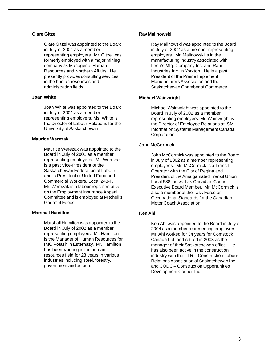### **Clare Gitzel**

Clare Gitzel was appointed to the Board in July of 2001 as a member representing employers. Mr. Gitzel was formerly employed with a major mining company as Manager of Human Resources and Northern Affairs. He presently provides consulting services in the human resources and administration fields.

### **Joan White**

Joan White was appointed to the Board in July of 2001 as a member representing employers. Ms. White is the Director of Labour Relations for the University of Saskatchewan.

### **Maurice Werezak**

Maurice Werezak was appointed to the Board in July of 2001 as a member representing employees. Mr. Werezak is a past Vice-President of the Saskatchewan Federation of Labour and is President of United Food and Commercial Workers, Local 248-P. Mr. Werezak is a labour representative on the Employment Insurance Appeal Committee and is employed at Mitchell's Gourmet Foods.

#### **Marshall Hamilton**

Marshall Hamilton was appointed to the Board in July of 2002 as a member representing employers. Mr. Hamilton is the Manager of Human Resources for IMC Potash in Esterhazy. Mr. Hamilton has been working in the human resources field for 23 years in various industries including steel, forestry, government and potash.

#### **Ray Malinowski**

Ray Malinowski was appointed to the Board in July of 2002 as a member representing employers. Mr. Malinowski is in the manufacturing industry associated with Leon's Mfg. Company Inc. and Ram Industries Inc. in Yorkton. He is a past President of the Prairie Implement Manufacturers Association and the Saskatchewan Chamber of Commerce.

### **Michael Wainwright**

Michael Wainwright was appointed to the Board in July of 2002 as a member representing employers. Mr. Wainwright is the Director of Employee Relations at ISM Information Systems Management Canada Corporation.

## **John McCormick**

John McCormick was appointed to the Board in July of 2002 as a member representing employees. Mr. McCormick is a Transit Operator with the City of Regina and President of the Amalgamated Transit Union Local 588, as well as Canadian Council Executive Board Member. Mr. McCormick is also a member of the Task Force on Occupational Standards for the Canadian Motor Coach Association.

# **Ken Ahl**

Ken Ahl was appointed to the Board in July of 2004 as a member representing employers. Mr. Ahl worked for 34 years for Comstock Canada Ltd. and retired in 2003 as the manager of their Saskatchewan office. He has also been active in the construction industry with the CLR – Construction Labour Relations Association of Saskatchewan Inc. and CODC – Construction Opportunities Development Council Inc.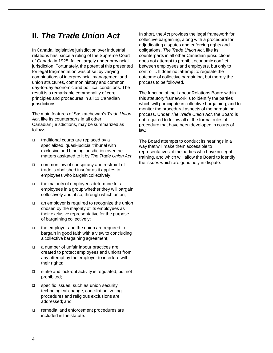# **II.** *The Trade Union Act*

In Canada, legislative jurisdiction over industrial relations has, since a ruling of the Supreme Court of Canada in 1925, fallen largely under provincial jurisdiction. Fortunately, the potential this presented for legal fragmentation was offset by varying combinations of interprovincial management and union structures, common history and common day-to-day economic and political conditions. The result is a remarkable commonality of core principles and procedures in all 11 Canadian jurisdictions.

The main features of Saskatchewan's *Trade Union Act*, like its counterparts in all other Canadian jurisdictions, may be summarized as follows:

- $\Box$  traditional courts are replaced by a specialized, quasi-judicial tribunal with exclusive and binding jurisdiction over the matters assigned to it by *The Trade Union Act*;
- □ common law of conspiracy and restraint of trade is abolished insofar as it applies to employees who bargain collectively;
- the majority of employees determine for all employees in a group whether they will bargain collectively and, if so, through which union;
- □ an employer is required to recognize the union chosen by the majority of its employees as their exclusive representative for the purpose of bargaining collectively;
- □ the employer and the union are required to bargain in good faith with a view to concluding a collective bargaining agreement;
- a number of unfair labour practices are created to protect employees and unions from any attempt by the employer to interfere with their rights;
- $\Box$  strike and lock-out activity is regulated, but not prohibited;
- □ specific issues, such as union security, technological change, conciliation, voting procedures and religious exclusions are addressed; and
- □ remedial and enforcement procedures are included in the statute.

In short, the *Act* provides the legal framework for collective bargaining, along with a procedure for adjudicating disputes and enforcing rights and obligations. *The Trade Union Act*, like its counterparts in all other Canadian jurisdictions, does not attempt to prohibit economic conflict between employees and employers, but only to control it. It does not attempt to regulate the outcome of collective bargaining, but merely the process to be followed.

The function of the Labour Relations Board within this statutory framework is to identify the parties which will participate in collective bargaining, and to monitor the procedural aspects of the bargaining process. Under *The Trade Union Act*, the Board is not required to follow all of the formal rules of procedure that have been developed in courts of law.

The Board attempts to conduct its hearings in a way that will make them accessible to representatives of the parties who have no legal training, and which will allow the Board to identify the issues which are genuinely in dispute.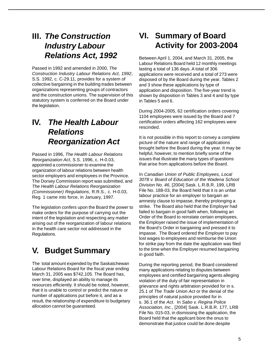# **III.** *The Construction Industry Labour Relations Act, 1992*

Passed in 1992 and amended in 2000, *The Construction Industry Labour Relations Act, 1992*, S.S. 1992, c. C-29.11, provides for a system of collective bargaining in the building trades between organizations representing groups of contractors and the construction unions. The supervision of this statutory system is conferred on the Board under the legislation.

# **IV.** *The Health Labour Relations Reorganization Act*

Passed in 1996, *The Health Labour Relations Reorganization Act*, S.S. 1996, c. H-0.03, appointed a commissioner to examine the organization of labour relations between health sector employers and employees in the Province. The Dorsey Commission report was submitted, and *The Health Labour Relations Reorganization (Commissioner) Regulations*, R.R.S., c. H-0.03, Reg. 1 came into force, in January, 1997.

The legislation confers upon the Board the power to make orders for the purpose of carrying out the intent of the legislation and respecting any matter arising out of the reorganization of labour relations in the health care sector not addressed in the Regulations.

# **V. Budget Summary**

The total amount expended by the Saskatchewan Labour Relations Board for the fiscal year ending March 31, 2005 was \$742,105. The Board has, over time, displayed an ability to manage its resources efficiently. It should be noted, however, that it is unable to control or predict the nature or number of applications put before it, and as a result, the relationship of expenditure to budgetary allocation cannot be guaranteed.

# **VI. Summary of Board Activity for 2003-2004**

Between April 1, 2004, and March 31, 2005, the Labour Relations Board held 12 monthly meetings lasting a total of 136 days. A total of 306 applications were received and a total of 273 were disposed of by the Board during the year. Tables 2 and 3 show these applications by type of application and disposition. The five-year trend is shown by disposition in Tables 3 and 4 and by type in Tables 5 and 6.

During 2004-2005, 62 certification orders covering 1104 employees were issued by the Board and 7 certification orders affecting 162 employees were rescinded.

It is not possible in this report to convey a complete picture of the nature and range of applications brought before the Board during the year. It may be helpful, however, to mention briefly some of the issues that illustrate the many types of questions that arise from applications before the Board.

In *Canadian Union of Public Employees, Local 3078 v. Board of Education of the Wadena School Division No. 46*, [2004] Sask. L.R.B.R. 199, LRB File No. 188-03, the Board held that it is an unfair labour practice for an employer to bargain an amnesty clause to impasse, thereby prolonging a strike. The Board also held that the Employer had failed to bargain in good faith when, following an Order of the Board to reinstate certain employees, the Employer raised the issue of implementation of the Board's Order in bargaining and pressed it to impasse. The Board ordered the Employer to pay lost wages to employees and reimburse the Union for strike pay from the date the application was filed to the time when the Employer resumed bargaining in good faith.

During the reporting period, the Board considered many applications relating to disputes between employees and certified bargaining agents alleging violation of the duty of fair representation in grievance and rights arbitration provided for in s. 25.1 of *The Trade Union Act* or the denial of the principles of natural justice provided for in s. 36.1 of the *Act*. In *Sabo v. Regina Police Association, Inc*., [2004] Sask. L.R.B.R. 177, LRB File No. 015-03, in dismissing the application, the Board held that the applicant bore the onus to demonstrate that justice could be done despite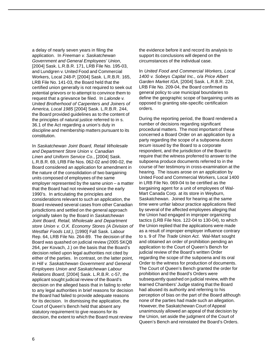a delay of nearly seven years in filing the application. In *Freeman v. Saskatchewan Government and General Employees' Union*, [2004] Sask. L.R.B.R. 171, LRB File No. 195-03, and Lundgren v. United Food and Commercial Workers, Local 248-P, [2004] Sask. L.R.B.R. 165, LRB File No. 141-03, the Board held that the certified union generally is not required to seek out potential grievors or to attempt to convince them to request that a grievance be filed. In *Lalonde v. United Brotherhood of Carpenters and Joiners of America, Local 1985* [2004] Sask. L.R.B.R. 244, the Board provided guidelines as to the content of the principles of natural justice referred to in s. 36.1 of the Act regarding a union's duty in discipline and membership matters pursuant to its constitution.

In *Saskatchewan Joint Board, Retail Wholesale and Department Store Union v. Canadian Linen and Uniform Service Co.*, [2004] Sask. L.R.B.R. 69, LRB File Nos. 062-02 and 090-02, the Board considered an application for amendment in the nature of the consolidation of two bargaining units composed of employees of the same employer represented by the same union – a matter that the Board had not reviewed since the early 1990's. In articulating the principles and considerations relevant to such an application, the Board reviewed several cases from other Canadian jurisdictions and settled on the general approach originally taken by the Board in *Saskatchewan Joint Board, Retail, Wholesale and Department store Union v. O.K. Economy Stores (A Division of Westfair Foods Ltd.),* [1990] Fall Sask. Labour Rep. 64, LRB File No. 264-89. The decision of the Board was quashed on judicial review (2005 SKQB 264, per Kovach, J.) on the basis that the Board's decision relied upon legal authorities not cited by either of the parties. In contrast, on the latter point, in *Hill v. Saskatchewan Government and General Employees Union and Saskatchewan Labour Relations Board*, [2004] Sask. L.R.B.R. c-57, the applicant sought judicial review of the Board's decision on the alleged basis that in failing to refer to any legal authorities in brief reasons for decision the Board had failed to provide adequate reasons for its decision. In dismissing the application, the Court of Queen's Bench held that absent any statutory requirement to give reasons for its decision, the extent to which the Board must review

the evidence before it and record its analysis to support its conclusions will depend on the circumstances of the individual case.

In *United Food and Commercial Workers, Local 1400 v. Sobeys Capital Inc., o/a Price Albert Garden Market IGA*, [2004] Sask. L.R.B.R. 224, LRB File No. 209-04, the Board confirmed its general policy to use municipal boundaries to define the geographic scope of bargaining units as opposed to granting site-specific certification orders.

During the reporting period, the Board rendered a number of decisions regarding significant procedural matters. The most important of these concerned a Board Order on an application by a party regarding the scope of a subpoena *duces tecum* issued by the Board to a corporate respondent, and the jurisdiction of the Board to require that the witness proferred to answer to the subpoena produce documents referred to in the course of her testimony in cross-examination at the hearing. The issues arose on an application by United Food and Commercial Workers, Local 1400 in LRB File No. 069-04 to be certified as the bargaining agent for a unit of employees of Wal-Mart Canada Corp. at its store in Weyburn, Saskatchewan. Joined for hearing at the same time were unfair labour practice applications filed by several of the affected employees alleging that the Union had engaged in improper organizing tactics (LRB File Nos. 122-04 to 130-04), to which the Union replied that the applications were made as a result of improper employer influence contrary to s. 9 of *The Trade Union Act*. Wal-Mart sought and obtained an order of prohibition pending an application to the Court of Queen's Bench for judicial review of the Board's written Order regarding the scope of the subpoena and its oral Order to the witness for production of documents. The Court of Queen's Bench granted the order for prohibition and the Board's Orders were subsequently quashed on judicial review, with the learned Chambers' Judge stating that the Board had abused its authority and referring to his perception of bias on the part of the Board although none of the parties had made such an allegation. However, the Saskatchewan Court of Appeal unanimously allowed an appeal of that decision by the Union, set aside the judgment of the Court of Queen's Bench and reinstated the Board's Orders.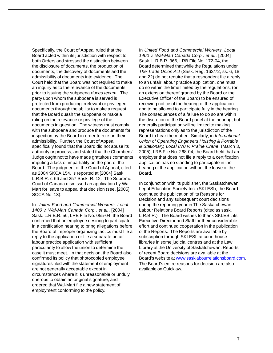Specifically, the Court of Appeal ruled that the Board acted within its jurisdiction with respect to both Orders and stressed the distinction between the disclosure of documents, the production of documents, the discovery of documents and the admissibility of documents into evidence. The Court held that the Board was not required to make an inquiry as to the relevance of the documents prior to issuing the subpoena *duces tecum*. The party upon whom the subpoena is served is protected from producing irrelevant or privileged documents through the ability to make a request that the Board quash the subpoena or make a ruling on the relevance or privilege of the documents in question. The witness must comply with the subpoena and produce the documents for inspection by the Board in order to rule on their admissibility. Further, the Court of Appeal specifically found that the Board did not abuse its authority or process, and stated that the Chambers' Judge ought not to have made gratuitous comments imputing a lack of impartiality on the part of the Board. The judgment of the Court of Appeal, cited as 2004 SKCA 154, is reported at [2004] Sask. L.R.B.R. c-66 and 257 Sask. R. 12. The Supreme Court of Canada dismissed an application by Wal-Mart for leave to appeal that decision (see, [2005] SCCA No. 13).

In *United Food and Commercial Workers, Local 1400 v. Wal-Mart Canada Corp., et al.*, [2004] Sask. L.R.B.R. 56, LRB File No. 055-04, the Board confirmed that an employee desiring to participate in a certification hearing to bring allegations before the Board of improper organizing tactics must file a reply to the application or file a separate unfair labour practice application with sufficient particularity to allow the union to determine the case it must meet. In that decision, the Board also confirmed its policy that photocopied employee signatures filed with the statement of employment are not generally acceptable except in circumstances where it is unreasonable or unduly onerous to obtain an original signature, and ordered that Wal-Mart file a new statement of employment conforming to the policy.

In *United Food and Commercial Workers, Local 1400 v. Wal-Mart Canada Corp., et al.*, [2004] Sask. L.R.B.R. 366, LRB File No. 172-04, the Board determined that while the Regulations under *The Trade Union Act* (Sask. Reg. 163/72, ss. 6, 18 and 22) do not require that a respondent file a reply to an unfair labour practice application, one must do so within the time limited by the regulations, (or an extension thereof granted by the Board or the Executive Officer of the Board) to be ensured of receiving notice of the hearing of the application and to be allowed to participate fully in the hearing. The consequences of a failure to do so are within the discretion of the Board panel at the hearing, but generally participation will be limited to making representations only as to the jurisdiction of the Board to hear the matter. Similarly, in *International Union of Operating Engineers Hoisting & Portable & Stationary, Local 870 v. Prairie Crane*, (March 3, 2005), LRB File No. 268-04, the Board held that an employer that does not file a reply to a certification application has no standing to participate in the hearing of the application without the leave of the Board.

In conjunction with its publisher, the Saskatchewan Legal Education Society Inc. (SKLESI), the Board continued the publication of its Reasons for Decision and any subsequent court decisions during the reporting year in The Saskatchewan Labour Relations Board Reports (cited as sask. L.R.B.R.). The Board wishes to thank SKLESI, its Executive Director and Staff for their considerable effort and continued cooperation in the publication of the Reports. The Reports are available by subscription through SKLESI, at court house libraries in some judicial centres and at the Law Library at the University of Saskatchewan. Reports of recent Board decisions are available at the Board's website at <u>www.sasklabourrelationsboard.com</u>. The Board's entire reasons for decision are also available on Quicklaw.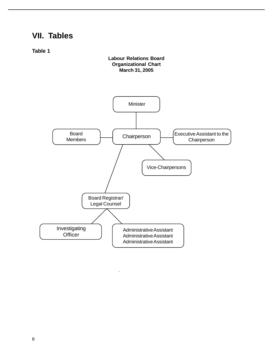# **VII. Tables**

**Table 1**

# **Labour Relations Board Organizational Chart March 31, 2005**

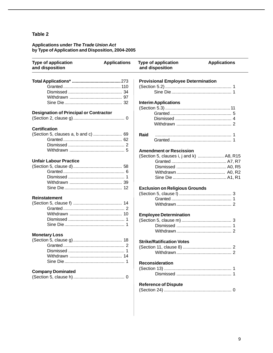#### **Applications under** *The Trade Union Act* **by Type of Application and Disposition, 2004-2005**

| Type of application<br>and disposition        | <b>Applications</b> | <b>Type of application</b><br>and disposition | <b>Applications</b> |
|-----------------------------------------------|---------------------|-----------------------------------------------|---------------------|
|                                               |                     | <b>Provisional Employee Determination</b>     |                     |
|                                               |                     |                                               |                     |
|                                               |                     |                                               |                     |
|                                               |                     |                                               |                     |
|                                               |                     | <b>Interim Applications</b>                   |                     |
|                                               |                     |                                               |                     |
| <b>Designation of Principal or Contractor</b> |                     |                                               |                     |
|                                               |                     |                                               |                     |
|                                               |                     |                                               |                     |
| <b>Certification</b>                          |                     |                                               |                     |
| (Section 5, clauses a, b and c)  69           |                     | Raid                                          |                     |
|                                               |                     |                                               |                     |
|                                               |                     |                                               |                     |
|                                               |                     |                                               |                     |
|                                               |                     | <b>Amendment or Rescission</b>                |                     |
| <b>Unfair Labour Practice</b>                 |                     | (Section 5, clauses i, j and k)  A8, R15      |                     |
|                                               |                     |                                               |                     |
|                                               |                     |                                               |                     |
|                                               |                     |                                               |                     |
|                                               |                     |                                               |                     |
|                                               |                     |                                               |                     |
|                                               |                     | <b>Exclusion on Religious Grounds</b>         |                     |
|                                               |                     |                                               |                     |
| Reinstatement                                 |                     |                                               |                     |
|                                               |                     |                                               |                     |
|                                               |                     |                                               |                     |
|                                               |                     | <b>Employee Determination</b>                 |                     |
|                                               |                     |                                               |                     |
|                                               |                     |                                               |                     |
|                                               |                     |                                               |                     |
| <b>Monetary Loss</b>                          |                     |                                               |                     |
|                                               |                     | <b>Strike/Ratification Votes</b>              |                     |
|                                               |                     |                                               |                     |
|                                               |                     |                                               |                     |
|                                               |                     |                                               |                     |
|                                               |                     | <b>Reconsideration</b>                        |                     |
|                                               |                     |                                               |                     |
| <b>Company Dominated</b>                      |                     |                                               |                     |
|                                               |                     |                                               |                     |
|                                               |                     | <b>Reference of Dispute</b>                   |                     |
|                                               |                     |                                               |                     |
|                                               |                     |                                               |                     |
|                                               |                     |                                               |                     |
|                                               |                     |                                               |                     |
|                                               |                     |                                               |                     |

 $\overline{\phantom{a}}$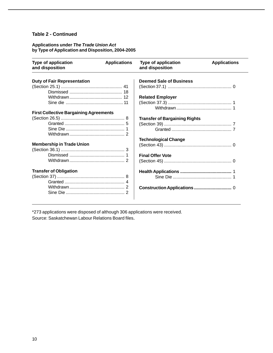## **Table 2 - Continued**

# **Applications under** *The Trade Union Act* **by Type of Application and Disposition, 2004-2005**

| Type of application<br>and disposition        | <b>Applications</b> | <b>Type of application</b><br>and disposition | <b>Applications</b> |
|-----------------------------------------------|---------------------|-----------------------------------------------|---------------------|
| <b>Duty of Fair Representation</b>            |                     | <b>Deemed Sale of Business</b>                |                     |
|                                               |                     |                                               |                     |
|                                               |                     |                                               |                     |
|                                               |                     | <b>Related Employer</b>                       |                     |
|                                               |                     |                                               |                     |
|                                               |                     |                                               |                     |
| <b>First Collective Bargaining Agreements</b> |                     |                                               |                     |
|                                               |                     | <b>Transfer of Bargaining Rights</b>          |                     |
|                                               |                     |                                               |                     |
|                                               |                     |                                               |                     |
|                                               |                     |                                               |                     |
|                                               |                     | <b>Technological Change</b>                   |                     |
| <b>Membership in Trade Union</b>              |                     |                                               |                     |
|                                               |                     |                                               |                     |
|                                               |                     | <b>Final Offer Vote</b>                       |                     |
|                                               |                     |                                               |                     |
| <b>Transfer of Obligation</b>                 |                     |                                               |                     |
|                                               |                     |                                               |                     |
|                                               |                     |                                               |                     |
|                                               |                     |                                               |                     |
|                                               |                     |                                               |                     |

\*273 applications were disposed of although 306 applications were received. Source: Saskatchewan Labour Relations Board files.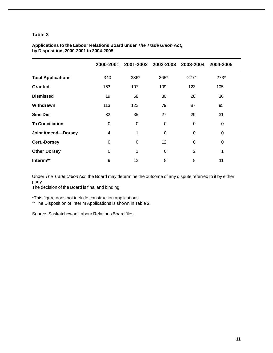|                           | 2000-2001 |      | 2001-2002 2002-2003 2003-2004 |        | 2004-2005   |
|---------------------------|-----------|------|-------------------------------|--------|-------------|
| <b>Total Applications</b> | 340       | 336* | 265*                          | $277*$ | $273*$      |
| <b>Granted</b>            | 163       | 107  | 109                           | 123    | 105         |
| <b>Dismissed</b>          | 19        | 58   | 30                            | 28     | 30          |
| Withdrawn                 | 113       | 122  | 79                            | 87     | 95          |
| <b>Sine Die</b>           | 32        | 35   | 27                            | 29     | 31          |
| <b>To Conciliation</b>    | 0         | 0    | 0                             | 0      | $\mathbf 0$ |
| <b>Joint Amend-Dorsey</b> | 4         | 1    | 0                             | 0      | 0           |
| <b>Cert.-Dorsey</b>       | 0         | 0    | 12 <sup>2</sup>               | 0      | 0           |
| <b>Other Dorsey</b>       | 0         | 1    | 0                             | 2      | 1           |
| Interim**                 | 9         | 12   | 8                             | 8      | 11          |

# **Applications to the Labour Relations Board under** *The Trade Union Act***, by Disposition, 2000-2001 to 2004-2005**

Under *The Trade Union Act*, the Board may determine the outcome of any dispute referred to it by either party.

The decision of the Board is final and binding.

\*This figure does not include construction applications.

\*\*The Disposition of Interim Applications is shown in Table 2.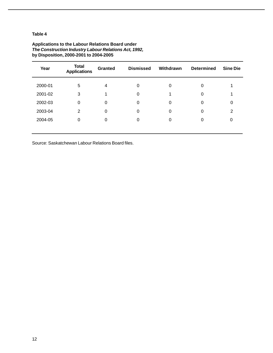| Year    | <b>Total</b><br><b>Applications</b> | <b>Granted</b> | <b>Dismissed</b> | Withdrawn | <b>Determined</b> | <b>Sine Die</b> |
|---------|-------------------------------------|----------------|------------------|-----------|-------------------|-----------------|
| 2000-01 | 5                                   | 4              | 0                | 0         | 0                 |                 |
| 2001-02 | 3                                   | 1              | 0                |           | 0                 |                 |
| 2002-03 | $\Omega$                            | $\Omega$       | 0                | 0         | 0                 | 0               |
| 2003-04 | 2                                   | 0              | 0                | 0         | 0                 | $\overline{2}$  |
| 2004-05 | $\Omega$                            | $\Omega$       | 0                | 0         | 0                 | 0               |
|         |                                     |                |                  |           |                   |                 |

### **Applications to the Labour Relations Board under** *The Construction Industry Labour Relations Act, 1992,* **by Disposition, 2000-2001 to 2004-2005**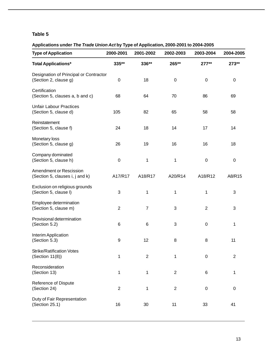# **Applications under** *The Trade Union Act* **by Type of Application, 2000-2001 to 2004-2005**

| <b>Type of Application</b>                                        | 2000-2001      | 2001-2002      | 2002-2003        | 2003-2004        | 2004-2005      |
|-------------------------------------------------------------------|----------------|----------------|------------------|------------------|----------------|
| <b>Total Applications*</b>                                        | 335**          | 336**          | 265**            | $277**$          | 273**          |
| Designation of Principal or Contractor<br>(Section 2, clause g)   | 0              | 18             | $\boldsymbol{0}$ | $\boldsymbol{0}$ | 0              |
| Certification<br>(Section 5, clauses a, b and c)                  | 68             | 64             | 70               | 86               | 69             |
| <b>Unfair Labour Practices</b><br>(Section 5, clause d)           | 105            | 82             | 65               | 58               | 58             |
| Reinstatement<br>(Section 5, clause f)                            | 24             | 18             | 14               | 17               | 14             |
| Monetary loss<br>(Section 5, clause g)                            | 26             | 19             | 16               | 16               | 18             |
| Company dominated<br>(Section 5, clause h)                        | $\pmb{0}$      | 1              | 1                | $\boldsymbol{0}$ | 0              |
| <b>Amendment or Rescission</b><br>(Section 5, clauses i, j and k) | A17/R17        | A18/R17        | A20/R14          | A18/R12          | A8/R15         |
| Exclusion on religious grounds<br>(Section 5, clause I)           | 3              | 1              | 1                | 1                | 3              |
| Employee determination<br>(Section 5, clause m)                   | $\overline{2}$ | $\overline{7}$ | 3                | $\overline{2}$   | 3              |
| Provisional determination<br>(Section 5.2)                        | 6              | $\,6$          | 3                | $\pmb{0}$        | 1              |
| Interim Application<br>(Section 5.3)                              | 9              | 12             | 8                | 8                | 11             |
| <b>Strike/Ratification Votes</b><br>(Section 11(8))               | 1              | $\overline{2}$ | 1                | $\mathbf 0$      | $\overline{2}$ |
| Reconsideration<br>(Section 13)                                   | 1              | 1              | $\overline{2}$   | 6                | 1              |
| Reference of Dispute<br>(Section 24)                              | $\overline{2}$ | 1              | $\overline{2}$   | $\mathbf 0$      | $\pmb{0}$      |
| Duty of Fair Representation<br>(Section 25.1)                     | 16             | 30             | 11               | 33               | 41             |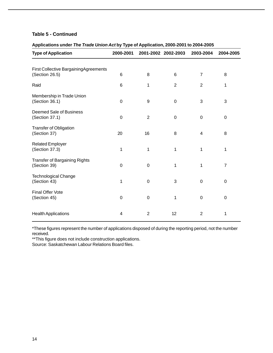## **Table 5 - Continued**

# **Applications under** *The Trade Union Act* **by Type of Application, 2000-2001 to 2004-2005**

| <b>Type of Application</b>                              | 2000-2001 |                | 2001-2002 2002-2003 | 2003-2004      | 2004-2005      |
|---------------------------------------------------------|-----------|----------------|---------------------|----------------|----------------|
| First Collective BargainingAgreements<br>(Section 26.5) | 6         | 8              | 6                   | $\overline{7}$ | 8              |
| Raid                                                    | 6         | 1              | $\overline{2}$      | $\overline{2}$ | 1              |
| Membership in Trade Union<br>(Section 36.1)             | 0         | 9              | $\mathbf 0$         | 3              | 3              |
| Deemed Sale of Business<br>(Section 37.1)               | 0         | $\overline{2}$ | $\mathbf 0$         | $\mathbf 0$    | $\pmb{0}$      |
| <b>Transfer of Obligation</b><br>(Section 37)           | 20        | 16             | 8                   | 4              | 8              |
| <b>Related Employer</b><br>(Section 37.3)               | 1         | 1              | 1                   | 1              | 1              |
| <b>Transfer of Bargaining Rights</b><br>(Section 39)    | 0         | $\Omega$       | 1                   | 1              | $\overline{7}$ |
| <b>Technological Change</b><br>(Section 43)             | 1         | $\mathbf 0$    | 3                   | $\mathbf 0$    | 0              |
| <b>Final Offer Vote</b><br>(Section 45)                 | 0         | 0              | 1                   | $\mathbf 0$    | 0              |
| <b>Health Applications</b>                              | 4         | $\overline{2}$ | 12                  | $\overline{2}$ | 1              |

\*These figures represent the number of applications disposed of during the reporting period, not the number received.

\*\*This figure does not include construction applications.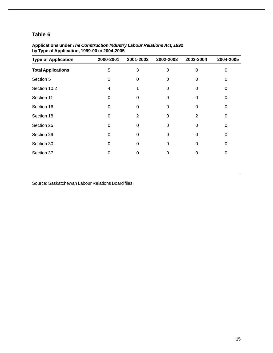| <b>Type of Application</b> | 2000-2001 | 2001-2002 | 2002-2003 | 2003-2004 | 2004-2005 |
|----------------------------|-----------|-----------|-----------|-----------|-----------|
| <b>Total Applications</b>  | 5         | 3         | $\Omega$  | 0         | 0         |
| Section 5                  |           | 0         | 0         | 0         | 0         |
| Section 10.2               | 4         |           | $\Omega$  | 0         | 0         |
| Section 11                 | $\Omega$  | 0         | 0         | 0         | 0         |
| Section 16                 | 0         | O         | $\Omega$  | 0         | 0         |
| Section 18                 | $\Omega$  | 2         | 0         | 2         | 0         |
| Section 25                 | $\Omega$  | 0         | $\Omega$  | $\Omega$  | $\Omega$  |
| Section 29                 | 0         | 0         | 0         | 0         | 0         |
| Section 30                 | 0         | 0         | 0         | 0         | 0         |
| Section 37                 | 0         | 0         | 0         | 0         | 0         |

### **Applications under** *The Construction Industry Labour Relations Act, 1992* **by Type of Application, 1999-00 to 2004-2005**